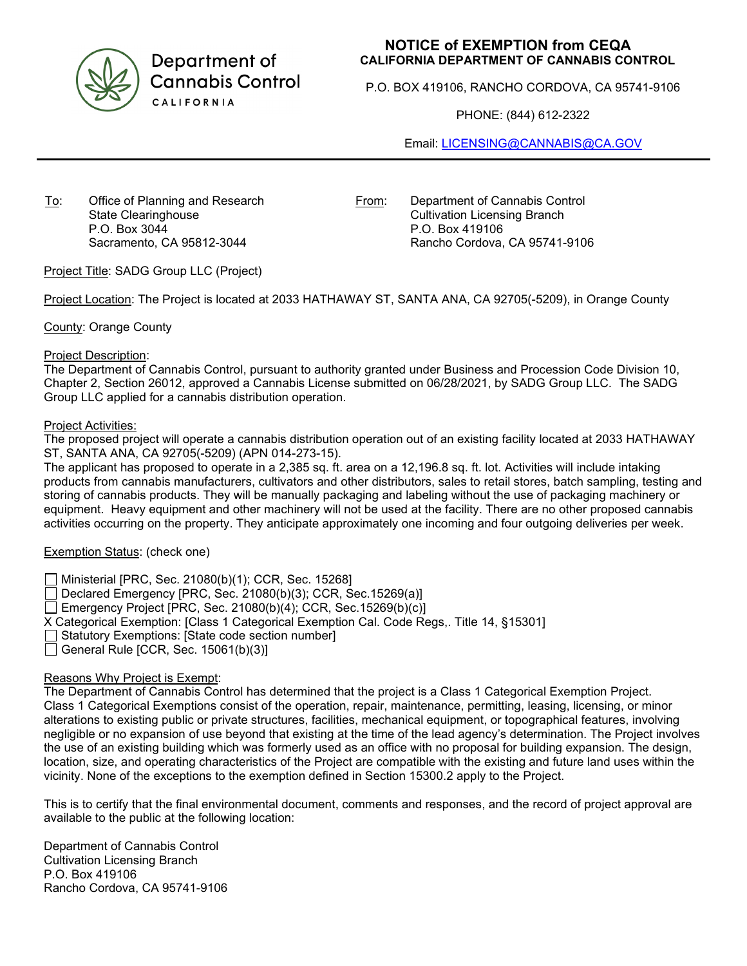

Department of **Cannabis Control** CALIFORNIA

# **NOTICE of EXEMPTION from CEQA CALIFORNIA DEPARTMENT OF CANNABIS CONTROL**

P.O. BOX 419106, RANCHO CORDOVA, CA 95741-9106

PHONE: (844) 612-2322

Email: [LICENSING@CANNABIS@CA.GOV](mailto:LICENSING@CANNABIS@CA.GOV)

To: Office of Planning and Research State Clearinghouse P.O. Box 3044 Sacramento, CA 95812-3044

From: Department of Cannabis Control Cultivation Licensing Branch P.O. Box 419106 Rancho Cordova, CA 95741-9106

Project Title: SADG Group LLC (Project)

Project Location: The Project is located at 2033 HATHAWAY ST, SANTA ANA, CA 92705(-5209), in Orange County

County: Orange County

### Project Description:

The Department of Cannabis Control, pursuant to authority granted under Business and Procession Code Division 10, Chapter 2, Section 26012, approved a Cannabis License submitted on 06/28/2021, by SADG Group LLC. The SADG Group LLC applied for a cannabis distribution operation.

### Project Activities:

The proposed project will operate a cannabis distribution operation out of an existing facility located at 2033 HATHAWAY ST, SANTA ANA, CA 92705(-5209) (APN 014-273-15).

The applicant has proposed to operate in a 2,385 sq. ft. area on a 12,196.8 sq. ft. lot. Activities will include intaking products from cannabis manufacturers, cultivators and other distributors, sales to retail stores, batch sampling, testing and storing of cannabis products. They will be manually packaging and labeling without the use of packaging machinery or equipment. Heavy equipment and other machinery will not be used at the facility. There are no other proposed cannabis activities occurring on the property. They anticipate approximately one incoming and four outgoing deliveries per week.

# Exemption Status: (check one)

Ministerial [PRC, Sec. 21080(b)(1); CCR, Sec. 15268]

 $\Box$  Declared Emergency [PRC, Sec. 21080(b)(3); CCR, Sec. 15269(a)]

Emergency Project [PRC, Sec. 21080(b)(4); CCR, Sec. 15269(b)(c)]

X Categorical Exemption: [Class 1 Categorical Exemption Cal. Code Regs,. Title 14, §15301]

Statutory Exemptions: [State code section number]

 $\Box$  General Rule [CCR, Sec. 15061(b)(3)]

# Reasons Why Project is Exempt:

The Department of Cannabis Control has determined that the project is a Class 1 Categorical Exemption Project. Class 1 Categorical Exemptions consist of the operation, repair, maintenance, permitting, leasing, licensing, or minor alterations to existing public or private structures, facilities, mechanical equipment, or topographical features, involving negligible or no expansion of use beyond that existing at the time of the lead agency's determination. The Project involves the use of an existing building which was formerly used as an office with no proposal for building expansion. The design, location, size, and operating characteristics of the Project are compatible with the existing and future land uses within the vicinity. None of the exceptions to the exemption defined in Section 15300.2 apply to the Project.

This is to certify that the final environmental document, comments and responses, and the record of project approval are available to the public at the following location:

Department of Cannabis Control Cultivation Licensing Branch P.O. Box 419106 Rancho Cordova, CA 95741-9106